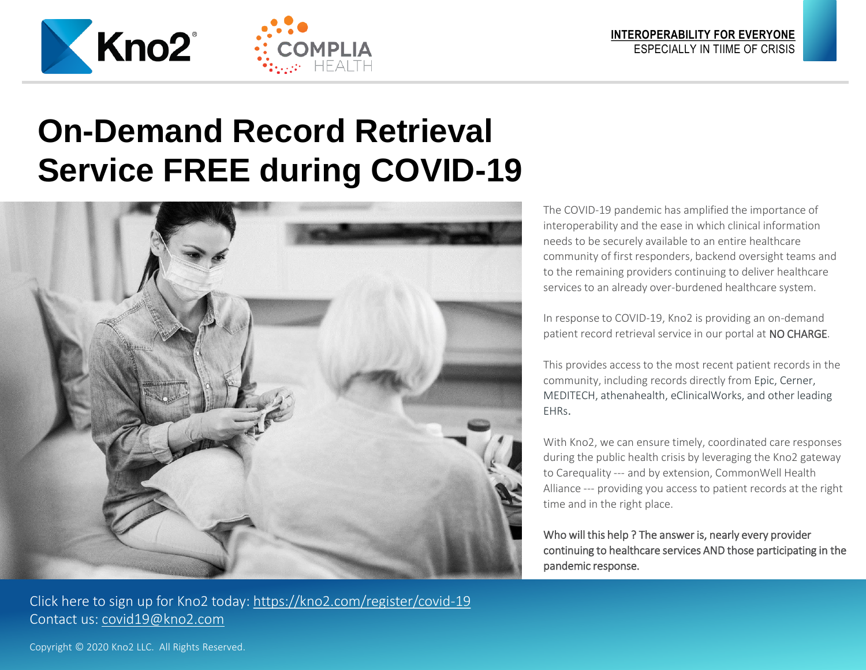

## **On-Demand Record Retrieval Service FREE during COVID-19**



Click here to sign up for Kno2 today: <https://kno2.com/register/covid-19> Contact us: [covid19@kno2.com](mailto:covid19@kno2.com)

The COVID-19 pandemic has amplified the importance of interoperability and the ease in which clinical information needs to be securely available to an entire healthcare community of first responders, backend oversight teams and to the remaining providers continuing to deliver healthcare services to an already over-burdened healthcare system.

In response to COVID-19, Kno2 is providing an on-demand patient record retrieval service in our portal at NO CHARGE.

This provides access to the most recent patient records in the community, including records directly from Epic, Cerner, MEDITECH, athenahealth, eClinicalWorks, and other leading EHRs.

With Kno2, we can ensure timely, coordinated care responses during the public health crisis by leveraging the Kno2 gateway to Carequality --- and by extension, CommonWell Health Alliance --- providing you access to patient records at the right time and in the right place.

Who will this help ? The answer is, nearly every provider continuing to healthcare services AND those participating in the pandemic response.

Copyright © 2020 Kno2 LLC. All Rights Reserved.